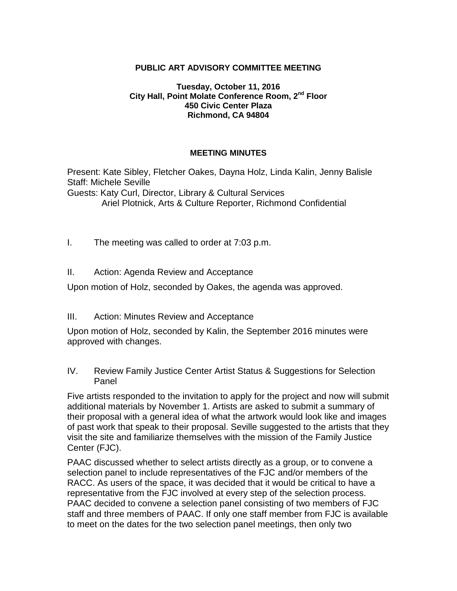### **PUBLIC ART ADVISORY COMMITTEE MEETING**

#### **Tuesday, October 11, 2016 City Hall, Point Molate Conference Room, 2nd Floor 450 Civic Center Plaza Richmond, CA 94804**

#### **MEETING MINUTES**

Present: Kate Sibley, Fletcher Oakes, Dayna Holz, Linda Kalin, Jenny Balisle Staff: Michele Seville

Guests: Katy Curl, Director, Library & Cultural Services Ariel Plotnick, Arts & Culture Reporter, Richmond Confidential

- I. The meeting was called to order at 7:03 p.m.
- II. Action: Agenda Review and Acceptance

Upon motion of Holz, seconded by Oakes, the agenda was approved.

III. Action: Minutes Review and Acceptance

Upon motion of Holz, seconded by Kalin, the September 2016 minutes were approved with changes.

IV. Review Family Justice Center Artist Status & Suggestions for Selection Panel

Five artists responded to the invitation to apply for the project and now will submit additional materials by November 1. Artists are asked to submit a summary of their proposal with a general idea of what the artwork would look like and images of past work that speak to their proposal. Seville suggested to the artists that they visit the site and familiarize themselves with the mission of the Family Justice Center (FJC).

PAAC discussed whether to select artists directly as a group, or to convene a selection panel to include representatives of the FJC and/or members of the RACC. As users of the space, it was decided that it would be critical to have a representative from the FJC involved at every step of the selection process. PAAC decided to convene a selection panel consisting of two members of FJC staff and three members of PAAC. If only one staff member from FJC is available to meet on the dates for the two selection panel meetings, then only two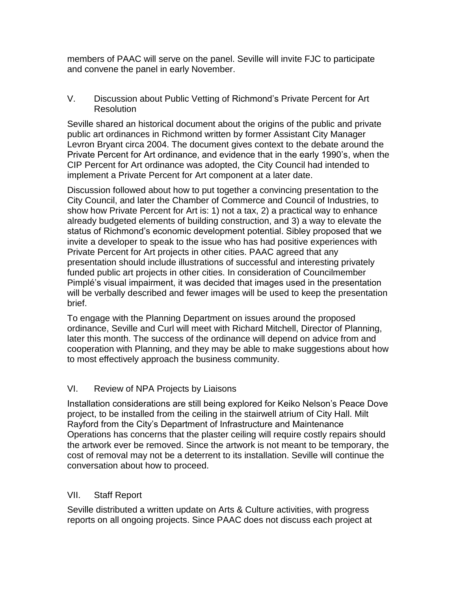members of PAAC will serve on the panel. Seville will invite FJC to participate and convene the panel in early November.

V. Discussion about Public Vetting of Richmond's Private Percent for Art **Resolution** 

Seville shared an historical document about the origins of the public and private public art ordinances in Richmond written by former Assistant City Manager Levron Bryant circa 2004. The document gives context to the debate around the Private Percent for Art ordinance, and evidence that in the early 1990's, when the CIP Percent for Art ordinance was adopted, the City Council had intended to implement a Private Percent for Art component at a later date.

Discussion followed about how to put together a convincing presentation to the City Council, and later the Chamber of Commerce and Council of Industries, to show how Private Percent for Art is: 1) not a tax, 2) a practical way to enhance already budgeted elements of building construction, and 3) a way to elevate the status of Richmond's economic development potential. Sibley proposed that we invite a developer to speak to the issue who has had positive experiences with Private Percent for Art projects in other cities. PAAC agreed that any presentation should include illustrations of successful and interesting privately funded public art projects in other cities. In consideration of Councilmember Pimplé's visual impairment, it was decided that images used in the presentation will be verbally described and fewer images will be used to keep the presentation brief.

To engage with the Planning Department on issues around the proposed ordinance, Seville and Curl will meet with Richard Mitchell, Director of Planning, later this month. The success of the ordinance will depend on advice from and cooperation with Planning, and they may be able to make suggestions about how to most effectively approach the business community.

## VI. Review of NPA Projects by Liaisons

Installation considerations are still being explored for Keiko Nelson's Peace Dove project, to be installed from the ceiling in the stairwell atrium of City Hall. Milt Rayford from the City's Department of Infrastructure and Maintenance Operations has concerns that the plaster ceiling will require costly repairs should the artwork ever be removed. Since the artwork is not meant to be temporary, the cost of removal may not be a deterrent to its installation. Seville will continue the conversation about how to proceed.

## VII. Staff Report

Seville distributed a written update on Arts & Culture activities, with progress reports on all ongoing projects. Since PAAC does not discuss each project at